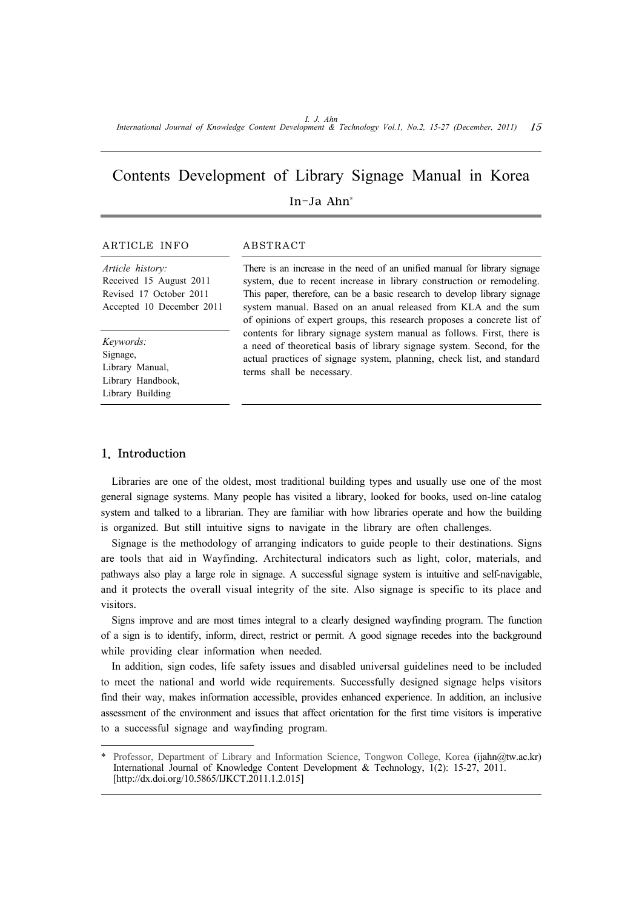# Contents Development of Library Signage Manual in Korea In-Ja Ahn\*

### ARTICLE INFO ABSTRACT

*Article history:* Received 15 August 2011 Revised 17 October 2011 Accepted 10 December 2011

*Keywords:* Signage, Library Manual, Library Handbook, Library Building

There is an increase in the need of an unified manual for library signage system, due to recent increase in library construction or remodeling. This paper, therefore, can be a basic research to develop library signage system manual. Based on an anual released from KLA and the sum of opinions of expert groups, this research proposes a concrete list of contents for library signage system manual as follows. First, there is a need of theoretical basis of library signage system. Second, for the actual practices of signage system, planning, check list, and standard terms shall be necessary.

# 1. Introduction

Libraries are one of the oldest, most traditional building types and usually use one of the most general signage systems. Many people has visited a library, looked for books, used on-line catalog system and talked to a librarian. They are familiar with how libraries operate and how the building is organized. But still intuitive signs to navigate in the library are often challenges.

Signage is the methodology of arranging indicators to guide people to their destinations. Signs are tools that aid in Wayfinding. Architectural indicators such as light, color, materials, and pathways also play a large role in signage. A successful signage system is intuitive and self-navigable, and it protects the overall visual integrity of the site. Also signage is specific to its place and visitors.

Signs improve and are most times integral to a clearly designed wayfinding program. The function of a sign is to identify, inform, direct, restrict or permit. A good signage recedes into the background while providing clear information when needed.

In addition, sign codes, life safety issues and disabled universal guidelines need to be included to meet the national and world wide requirements. Successfully designed signage helps visitors find their way, makes information accessible, provides enhanced experience. In addition, an inclusive assessment of the environment and issues that affect orientation for the first time visitors is imperative to a successful signage and wayfinding program.

Professor, Department of Library and Information Science, Tongwon College, Korea (ijahn@tw.ac.kr) International Journal of Knowledge Content Development & Technology, 1(2): 15-27, 2011. [http://dx.doi.org/10.5865/IJKCT.2011.1.2.015]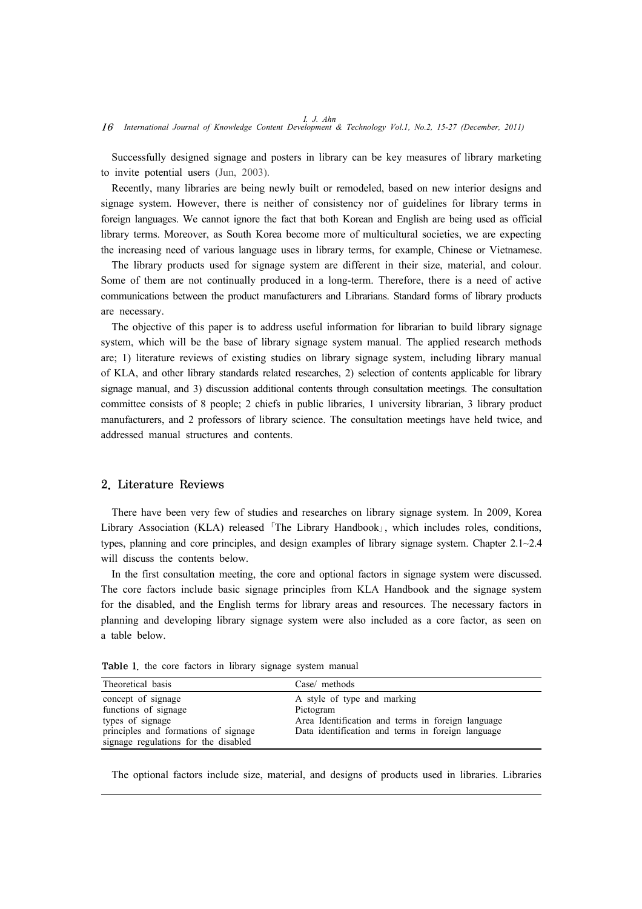Successfully designed signage and posters in library can be key measures of library marketing to invite potential users (Jun, 2003).

Recently, many libraries are being newly built or remodeled, based on new interior designs and signage system. However, there is neither of consistency nor of guidelines for library terms in foreign languages. We cannot ignore the fact that both Korean and English are being used as official library terms. Moreover, as South Korea become more of multicultural societies, we are expecting the increasing need of various language uses in library terms, for example, Chinese or Vietnamese.

The library products used for signage system are different in their size, material, and colour. Some of them are not continually produced in a long-term. Therefore, there is a need of active communications between the product manufacturers and Librarians. Standard forms of library products are necessary.

The objective of this paper is to address useful information for librarian to build library signage system, which will be the base of library signage system manual. The applied research methods are; 1) literature reviews of existing studies on library signage system, including library manual of KLA, and other library standards related researches, 2) selection of contents applicable for library signage manual, and 3) discussion additional contents through consultation meetings. The consultation committee consists of 8 people; 2 chiefs in public libraries, 1 university librarian, 3 library product manufacturers, and 2 professors of library science. The consultation meetings have held twice, and addressed manual structures and contents.

#### 2. Literature Reviews

There have been very few of studies and researches on library signage system. In 2009, Korea Library Association (KLA) released 「The Library Handbook」, which includes roles, conditions, types, planning and core principles, and design examples of library signage system. Chapter 2.1~2.4 will discuss the contents below.

In the first consultation meeting, the core and optional factors in signage system were discussed. The core factors include basic signage principles from KLA Handbook and the signage system for the disabled, and the English terms for library areas and resources. The necessary factors in planning and developing library signage system were also included as a core factor, as seen on a table below.

| Theoretical basis                                                            | Case/ methods                                                                                 |
|------------------------------------------------------------------------------|-----------------------------------------------------------------------------------------------|
| concept of signage<br>functions of signage<br>types of signage               | A style of type and marking<br>Pictogram<br>Area Identification and terms in foreign language |
| principles and formations of signage<br>signage regulations for the disabled | Data identification and terms in foreign language                                             |

Table 1. the core factors in library signage system manual

The optional factors include size, material, and designs of products used in libraries. Libraries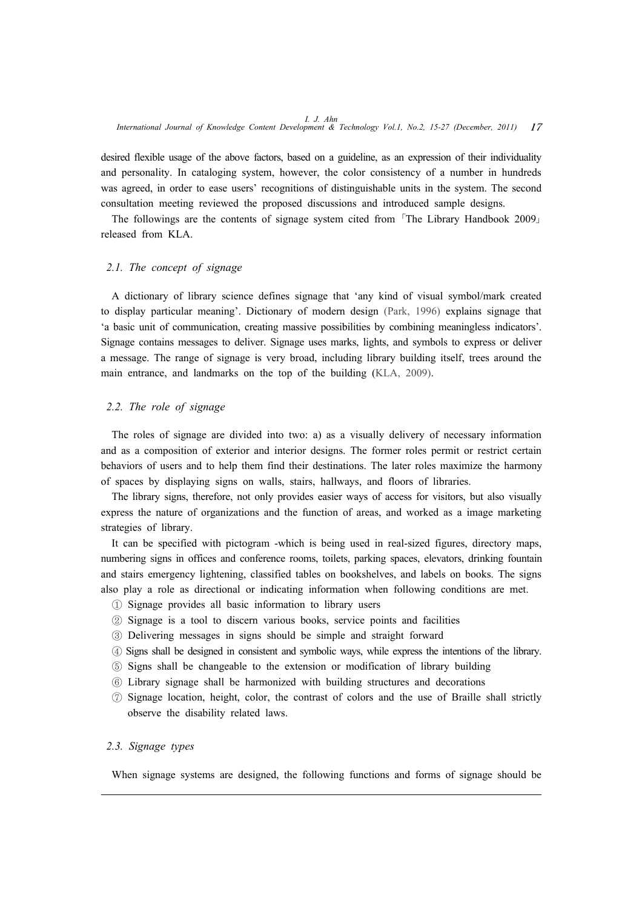desired flexible usage of the above factors, based on a guideline, as an expression of their individuality and personality. In cataloging system, however, the color consistency of a number in hundreds was agreed, in order to ease users' recognitions of distinguishable units in the system. The second consultation meeting reviewed the proposed discussions and introduced sample designs.

The followings are the contents of signage system cited from 「The Library Handbook 2009」 released from KLA.

### *2.1. The concept of signage*

A dictionary of library science defines signage that 'any kind of visual symbol/mark created to display particular meaning'. Dictionary of modern design (Park, 1996) explains signage that 'a basic unit of communication, creating massive possibilities by combining meaningless indicators'. Signage contains messages to deliver. Signage uses marks, lights, and symbols to express or deliver a message. The range of signage is very broad, including library building itself, trees around the main entrance, and landmarks on the top of the building (KLA, 2009).

# *2.2. The role of signage*

The roles of signage are divided into two: a) as a visually delivery of necessary information and as a composition of exterior and interior designs. The former roles permit or restrict certain behaviors of users and to help them find their destinations. The later roles maximize the harmony of spaces by displaying signs on walls, stairs, hallways, and floors of libraries.

The library signs, therefore, not only provides easier ways of access for visitors, but also visually express the nature of organizations and the function of areas, and worked as a image marketing strategies of library.

It can be specified with pictogram -which is being used in real-sized figures, directory maps, numbering signs in offices and conference rooms, toilets, parking spaces, elevators, drinking fountain and stairs emergency lightening, classified tables on bookshelves, and labels on books. The signs also play a role as directional or indicating information when following conditions are met.

- ① Signage provides all basic information to library users
- ② Signage is a tool to discern various books, service points and facilities
- ③ Delivering messages in signs should be simple and straight forward
- ④ Signs shall be designed in consistent and symbolic ways, while express the intentions of the library.
- ⑤ Signs shall be changeable to the extension or modification of library building
- ⑥ Library signage shall be harmonized with building structures and decorations
- ⑦ Signage location, height, color, the contrast of colors and the use of Braille shall strictly observe the disability related laws.

### *2.3. Signage types*

When signage systems are designed, the following functions and forms of signage should be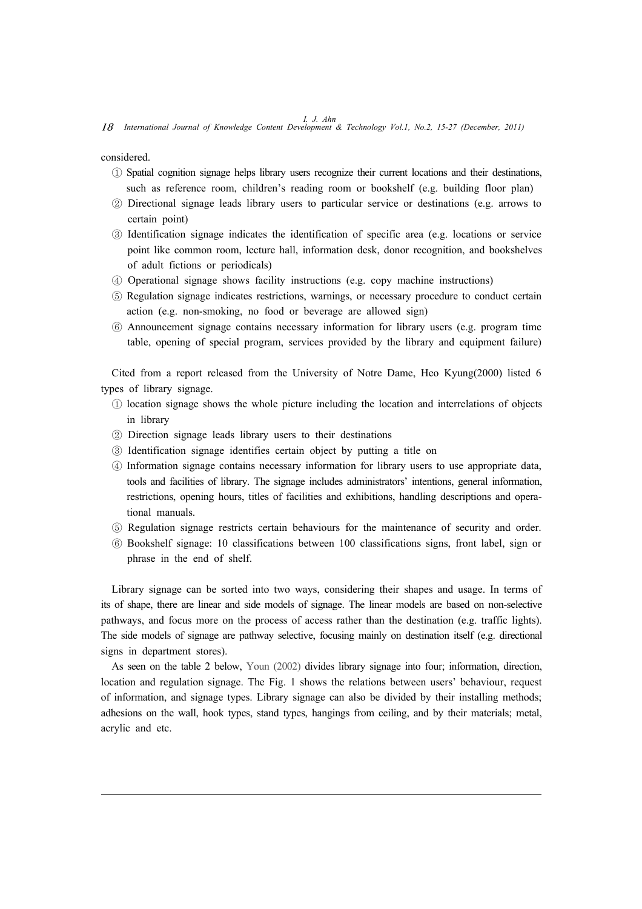*I. J. Ahn* 18 *International Journal of Knowledge Content Development & Technology Vol.1, No.2, 15-27 (December, 2011)*

considered.

- ① Spatial cognition signage helps library users recognize their current locations and their destinations, such as reference room, children's reading room or bookshelf (e.g. building floor plan)
- ② Directional signage leads library users to particular service or destinations (e.g. arrows to certain point)
- ③ Identification signage indicates the identification of specific area (e.g. locations or service point like common room, lecture hall, information desk, donor recognition, and bookshelves of adult fictions or periodicals)
- ④ Operational signage shows facility instructions (e.g. copy machine instructions)
- ⑤ Regulation signage indicates restrictions, warnings, or necessary procedure to conduct certain action (e.g. non-smoking, no food or beverage are allowed sign)
- ⑥ Announcement signage contains necessary information for library users (e.g. program time table, opening of special program, services provided by the library and equipment failure)

Cited from a report released from the University of Notre Dame, Heo Kyung(2000) listed 6 types of library signage.

- ① location signage shows the whole picture including the location and interrelations of objects in library
- ② Direction signage leads library users to their destinations
- ③ Identification signage identifies certain object by putting a title on
- ④ Information signage contains necessary information for library users to use appropriate data, tools and facilities of library. The signage includes administrators' intentions, general information, restrictions, opening hours, titles of facilities and exhibitions, handling descriptions and operational manuals.
- ⑤ Regulation signage restricts certain behaviours for the maintenance of security and order.
- ⑥ Bookshelf signage: 10 classifications between 100 classifications signs, front label, sign or phrase in the end of shelf.

Library signage can be sorted into two ways, considering their shapes and usage. In terms of its of shape, there are linear and side models of signage. The linear models are based on non-selective pathways, and focus more on the process of access rather than the destination (e.g. traffic lights). The side models of signage are pathway selective, focusing mainly on destination itself (e.g. directional signs in department stores).

As seen on the table 2 below, Youn (2002) divides library signage into four; information, direction, location and regulation signage. The Fig. 1 shows the relations between users' behaviour, request of information, and signage types. Library signage can also be divided by their installing methods; adhesions on the wall, hook types, stand types, hangings from ceiling, and by their materials; metal, acrylic and etc.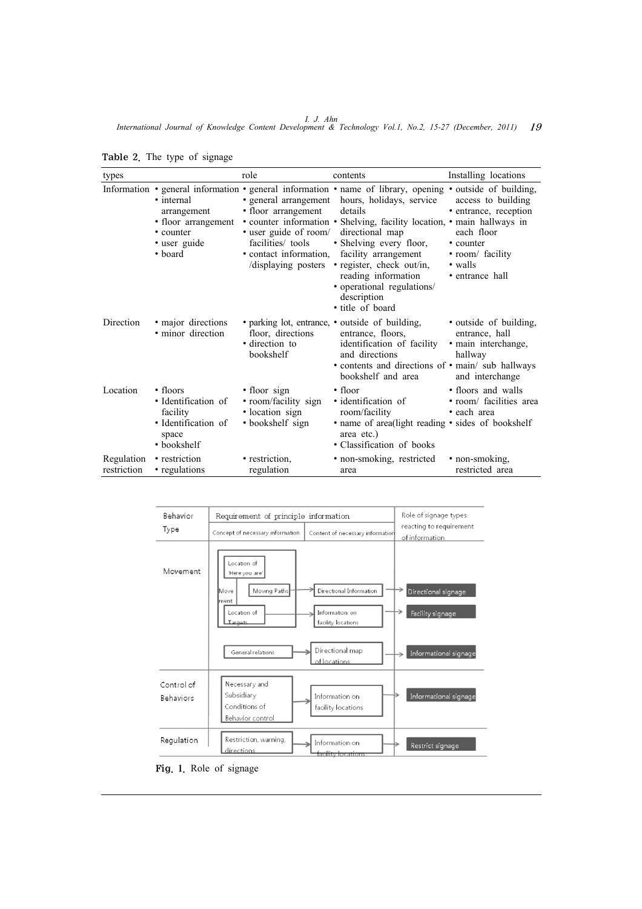*I. J. Ahn International Journal of Knowledge Content Development & Technology Vol.1, No.2, 15-27 (December, 2011)* 19

| types                     |                                                                                                  | role                                                                                                                                       | contents                                                                                                                                                                                                                                                                                                                                                                                                               | Installing locations                                                                                                     |
|---------------------------|--------------------------------------------------------------------------------------------------|--------------------------------------------------------------------------------------------------------------------------------------------|------------------------------------------------------------------------------------------------------------------------------------------------------------------------------------------------------------------------------------------------------------------------------------------------------------------------------------------------------------------------------------------------------------------------|--------------------------------------------------------------------------------------------------------------------------|
|                           | • internal<br>arrangement<br>· floor arrangement<br>• counter<br>• user guide<br>• board         | • general arrangement<br>• floor arrangement<br>• user guide of room/<br>facilities/ tools<br>• contact information,<br>displaying posters | Information • general information • general information • name of library, opening • outside of building,<br>hours, holidays, service<br>details<br>• counter information • Shelving, facility location, • main hallways in<br>directional map<br>• Shelving every floor,<br>facility arrangement<br>· register, check out/in,<br>reading information<br>· operational regulations/<br>description<br>• title of board | access to building<br>• entrance, reception<br>each floor<br>• counter<br>• room/ facility<br>• walls<br>• entrance hall |
| Direction                 | • major directions<br>• minor direction                                                          | floor, directions<br>• direction to<br>bookshelf                                                                                           | • parking lot, entrance, • outside of building,<br>entrance, floors,<br>identification of facility<br>and directions<br>• contents and directions of • main/ sub hallways<br>bookshelf and area                                                                                                                                                                                                                        | • outside of building,<br>entrance, hall<br>· main interchange,<br>hallway<br>and interchange                            |
| Location                  | $\cdot$ floors<br>• Identification of<br>facility<br>• Identification of<br>space<br>• bookshelf | • floor sign<br>· room/facility sign<br>• location sign<br>• bookshelf sign                                                                | $\cdot$ floor<br>• identification of<br>room/facility<br>• name of area (light reading • sides of bookshelf<br>area etc.)<br>• Classification of books                                                                                                                                                                                                                                                                 | • floors and walls<br>· room/ facilities area<br>• each area                                                             |
| Regulation<br>restriction | • restriction<br>• regulations                                                                   | • restriction,<br>regulation                                                                                                               | · non-smoking, restricted<br>area                                                                                                                                                                                                                                                                                                                                                                                      | • non-smoking,<br>restricted area                                                                                        |

Table 2. The type of signage



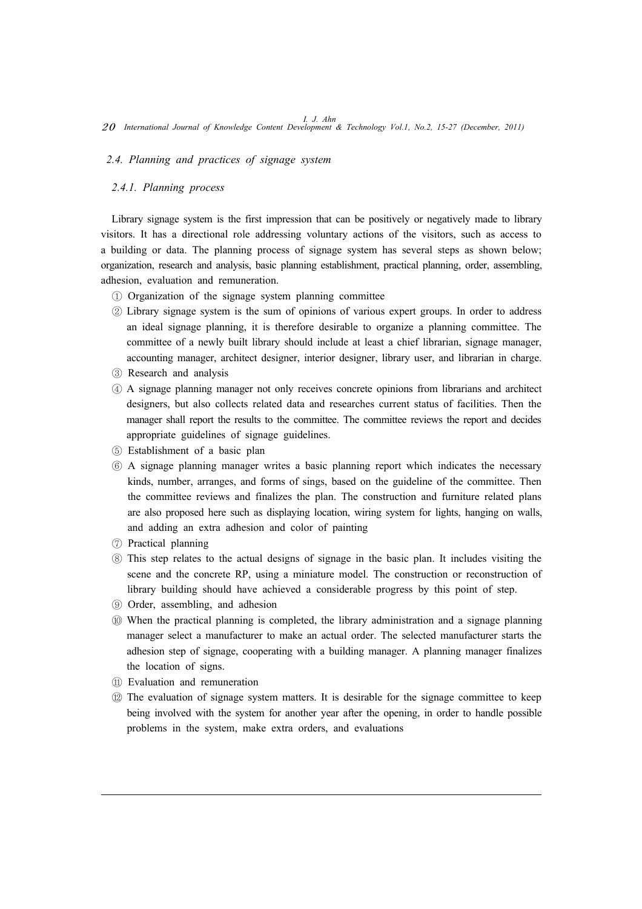#### *2.4. Planning and practices of signage system*

#### *2.4.1. Planning process*

Library signage system is the first impression that can be positively or negatively made to library visitors. It has a directional role addressing voluntary actions of the visitors, such as access to a building or data. The planning process of signage system has several steps as shown below; organization, research and analysis, basic planning establishment, practical planning, order, assembling, adhesion, evaluation and remuneration.

- ① Organization of the signage system planning committee
- ② Library signage system is the sum of opinions of various expert groups. In order to address an ideal signage planning, it is therefore desirable to organize a planning committee. The committee of a newly built library should include at least a chief librarian, signage manager, accounting manager, architect designer, interior designer, library user, and librarian in charge.
- ③ Research and analysis
- ④ A signage planning manager not only receives concrete opinions from librarians and architect designers, but also collects related data and researches current status of facilities. Then the manager shall report the results to the committee. The committee reviews the report and decides appropriate guidelines of signage guidelines.
- ⑤ Establishment of a basic plan
- ⑥ A signage planning manager writes a basic planning report which indicates the necessary kinds, number, arranges, and forms of sings, based on the guideline of the committee. Then the committee reviews and finalizes the plan. The construction and furniture related plans are also proposed here such as displaying location, wiring system for lights, hanging on walls, and adding an extra adhesion and color of painting
- ⑦ Practical planning
- ⑧ This step relates to the actual designs of signage in the basic plan. It includes visiting the scene and the concrete RP, using a miniature model. The construction or reconstruction of library building should have achieved a considerable progress by this point of step.
- ⑨ Order, assembling, and adhesion
- ⑩ When the practical planning is completed, the library administration and a signage planning manager select a manufacturer to make an actual order. The selected manufacturer starts the adhesion step of signage, cooperating with a building manager. A planning manager finalizes the location of signs.
- ⑪ Evaluation and remuneration
- ⑫ The evaluation of signage system matters. It is desirable for the signage committee to keep being involved with the system for another year after the opening, in order to handle possible problems in the system, make extra orders, and evaluations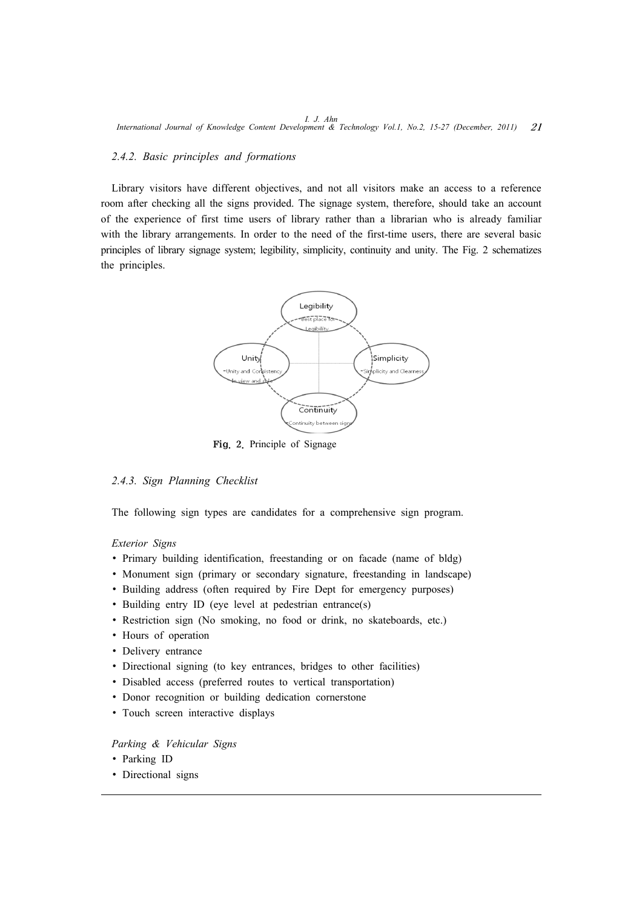### *2.4.2. Basic principles and formations*

Library visitors have different objectives, and not all visitors make an access to a reference room after checking all the signs provided. The signage system, therefore, should take an account of the experience of first time users of library rather than a librarian who is already familiar with the library arrangements. In order to the need of the first-time users, there are several basic principles of library signage system; legibility, simplicity, continuity and unity. The Fig. 2 schematizes the principles.



Fig. 2. Principle of Signage

# *2.4.3. Sign Planning Checklist*

The following sign types are candidates for a comprehensive sign program.

#### *Exterior Signs*

- ∙ Primary building identification, freestanding or on facade (name of bldg)
- ∙ Monument sign (primary or secondary signature, freestanding in landscape)
- ∙ Building address (often required by Fire Dept for emergency purposes)
- Building entry ID (eye level at pedestrian entrance(s)
- ∙ Restriction sign (No smoking, no food or drink, no skateboards, etc.)
- ∙ Hours of operation
- ∙ Delivery entrance
- Directional signing (to key entrances, bridges to other facilities)
- ∙ Disabled access (preferred routes to vertical transportation)
- ∙ Donor recognition or building dedication cornerstone
- Touch screen interactive displays

#### *Parking & Vehicular Signs*

- ∙ Parking ID
- ∙ Directional signs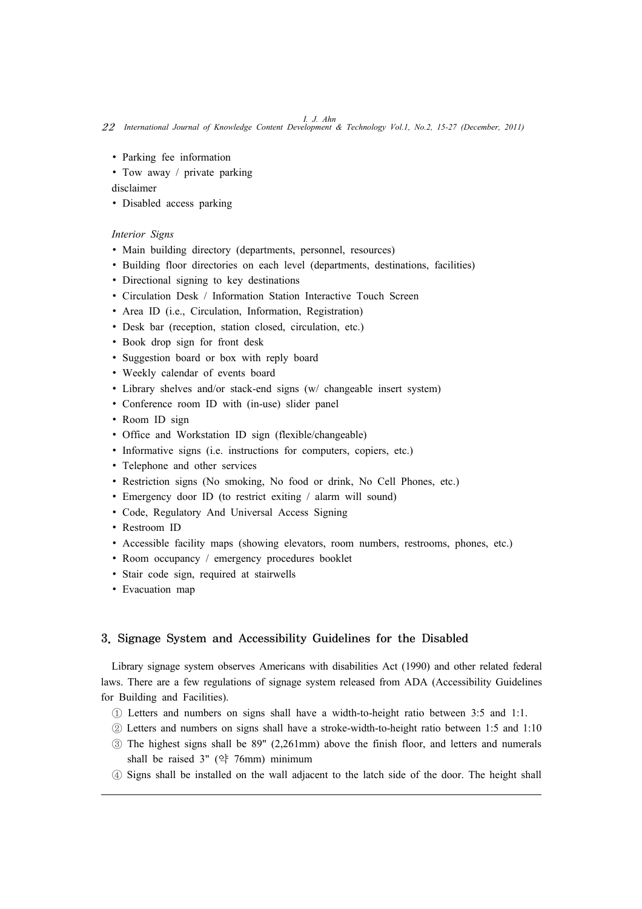*I. J. Ahn* 22 *International Journal of Knowledge Content Development & Technology Vol.1, No.2, 15-27 (December, 2011)*

- ∙ Parking fee information
- ∙ Tow away / private parking

disclaimer

∙ Disabled access parking

### *Interior Signs*

- Main building directory (departments, personnel, resources)
- ∙ Building floor directories on each level (departments, destinations, facilities)
- ∙ Directional signing to key destinations
- ∙ Circulation Desk / Information Station Interactive Touch Screen
- ∙ Area ID (i.e., Circulation, Information, Registration)
- ∙ Desk bar (reception, station closed, circulation, etc.)
- ∙ Book drop sign for front desk
- ∙ Suggestion board or box with reply board
- ∙ Weekly calendar of events board
- ∙ Library shelves and/or stack-end signs (w/ changeable insert system)
- ∙ Conference room ID with (in-use) slider panel
- ∙ Room ID sign
- ∙ Office and Workstation ID sign (flexible/changeable)
- ∙ Informative signs (i.e. instructions for computers, copiers, etc.)
- ∙ Telephone and other services
- ∙ Restriction signs (No smoking, No food or drink, No Cell Phones, etc.)
- ∙ Emergency door ID (to restrict exiting / alarm will sound)
- ∙ Code, Regulatory And Universal Access Signing
- ∙ Restroom ID
- ∙ Accessible facility maps (showing elevators, room numbers, restrooms, phones, etc.)
- ∙ Room occupancy / emergency procedures booklet
- ∙ Stair code sign, required at stairwells
- ∙ Evacuation map

# 3. Signage System and Accessibility Guidelines for the Disabled

Library signage system observes Americans with disabilities Act (1990) and other related federal laws. There are a few regulations of signage system released from ADA (Accessibility Guidelines for Building and Facilities).

- ① Letters and numbers on signs shall have a width-to-height ratio between 3:5 and 1:1.
- ② Letters and numbers on signs shall have a stroke-width-to-height ratio between 1:5 and 1:10
- ③ The highest signs shall be 89" (2,261mm) above the finish floor, and letters and numerals shall be raised 3" (약 76mm) minimum
- ④ Signs shall be installed on the wall adjacent to the latch side of the door. The height shall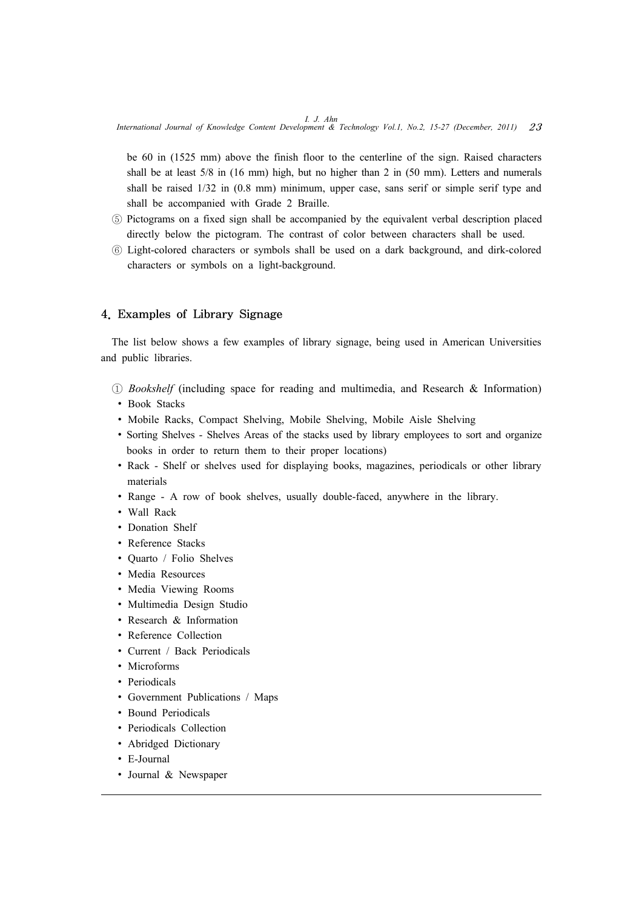*I. J. Ahn International Journal of Knowledge Content Development & Technology Vol.1, No.2, 15-27 (December, 2011)* 23

be 60 in (1525 mm) above the finish floor to the centerline of the sign. Raised characters shall be at least 5/8 in (16 mm) high, but no higher than 2 in (50 mm). Letters and numerals shall be raised  $1/32$  in  $(0.8 \text{ mm})$  minimum, upper case, sans serif or simple serif type and shall be accompanied with Grade 2 Braille.

- ⑤ Pictograms on a fixed sign shall be accompanied by the equivalent verbal description placed directly below the pictogram. The contrast of color between characters shall be used.
- ⑥ Light-colored characters or symbols shall be used on a dark background, and dirk-colored characters or symbols on a light-background.

# 4. Examples of Library Signage

The list below shows a few examples of library signage, being used in American Universities and public libraries.

- ① *Bookshelf* (including space for reading and multimedia, and Research & Information)
	- ∙ Book Stacks
	- ∙ Mobile Racks, Compact Shelving, Mobile Shelving, Mobile Aisle Shelving
	- Sorting Shelves Shelves Areas of the stacks used by library employees to sort and organize books in order to return them to their proper locations)
	- ∙ Rack Shelf or shelves used for displaying books, magazines, periodicals or other library materials
	- ∙ Range A row of book shelves, usually double-faced, anywhere in the library.
- ∙ Wall Rack
- ∙ Donation Shelf
- ∙ Reference Stacks
- ∙ Quarto / Folio Shelves
- ∙ Media Resources
- ∙ Media Viewing Rooms
- ∙ Multimedia Design Studio
- ∙ Research & Information
- ∙ Reference Collection
- ∙ Current / Back Periodicals
- ∙ Microforms
- ∙ Periodicals
- Government Publications / Maps
- ∙ Bound Periodicals
- ∙ Periodicals Collection
- ∙ Abridged Dictionary
- ∙ E-Journal
- ∙ Journal & Newspaper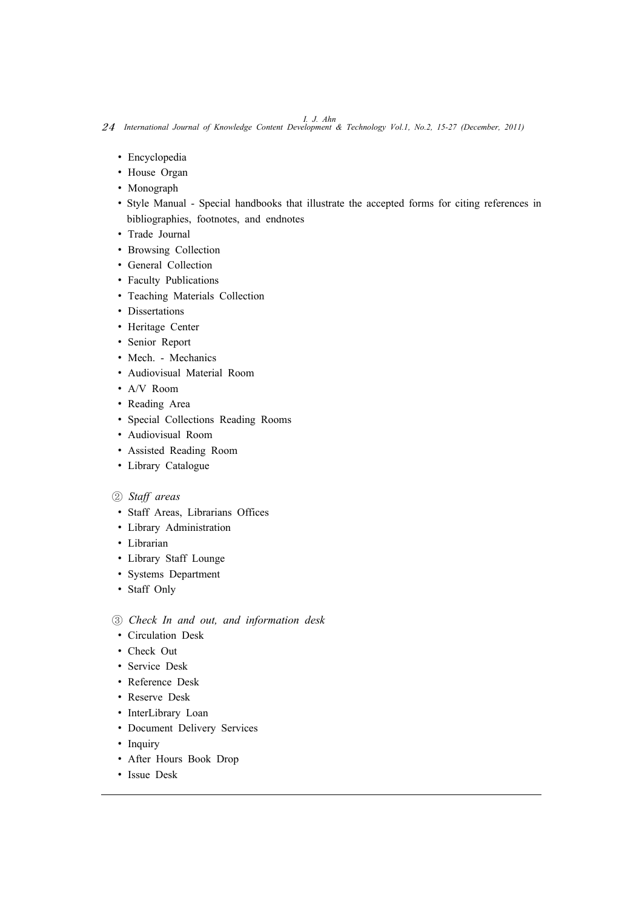*I. J. Ahn* 24 *International Journal of Knowledge Content Development & Technology Vol.1, No.2, 15-27 (December, 2011)*

- ∙ Encyclopedia
- ∙ House Organ
- ∙ Monograph
- ∙ Style Manual Special handbooks that illustrate the accepted forms for citing references in bibliographies, footnotes, and endnotes
- ∙ Trade Journal
- ∙ Browsing Collection
- ∙ General Collection
- ∙ Faculty Publications
- ∙ Teaching Materials Collection
- ∙ Dissertations
- ∙ Heritage Center
- ∙ Senior Report
- ∙ Mech. Mechanics
- ∙ Audiovisual Material Room
- ∙ A/V Room
- ∙ Reading Area
- ∙ Special Collections Reading Rooms
- ∙ Audiovisual Room
- ∙ Assisted Reading Room
- ∙ Library Catalogue

# ② *Staff areas*

- ∙ Staff Areas, Librarians Offices
- ∙ Library Administration
- ∙ Librarian
- ∙ Library Staff Lounge
- ∙ Systems Department
- ∙ Staff Only
- ③ *Check In and out, and information desk*
- ∙ Circulation Desk
- ∙ Check Out
- ∙ Service Desk
- ∙ Reference Desk
- ∙ Reserve Desk
- ∙ InterLibrary Loan
- ∙ Document Delivery Services
- ∙ Inquiry
- ∙ After Hours Book Drop
- ∙ Issue Desk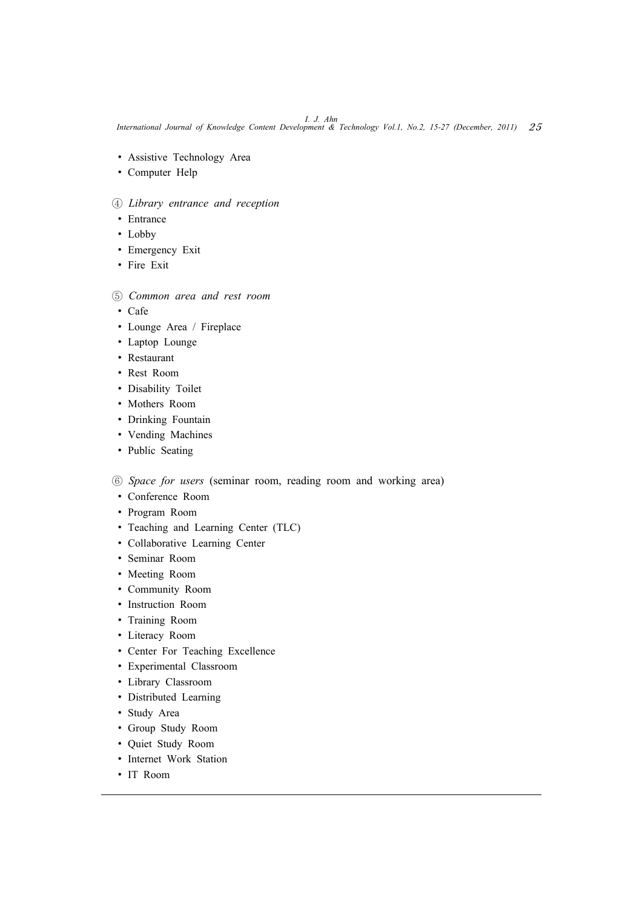*I. J. Ahn International Journal of Knowledge Content Development & Technology Vol.1, No.2, 15-27 (December, 2011)* 25

- ∙ Assistive Technology Area
- ∙ Computer Help

# ④ *Library entrance and reception*

- ∙ Entrance
- ∙ Lobby
- ∙ Emergency Exit
- ∙ Fire Exit

# ⑤ *Common area and rest room*

- ∙ Cafe
- ∙ Lounge Area / Fireplace
- ∙ Laptop Lounge
- ∙ Restaurant
- ∙ Rest Room
- ∙ Disability Toilet
- ∙ Mothers Room
- ∙ Drinking Fountain
- ∙ Vending Machines
- ∙ Public Seating

⑥ *Space for users* (seminar room, reading room and working area)

- ∙ Conference Room
- ∙ Program Room
- ∙ Teaching and Learning Center (TLC)
- ∙ Collaborative Learning Center
- ∙ Seminar Room
- ∙ Meeting Room
- ∙ Community Room
- ∙ Instruction Room
- ∙ Training Room
- ∙ Literacy Room
- ∙ Center For Teaching Excellence
- ∙ Experimental Classroom
- ∙ Library Classroom
- ∙ Distributed Learning
- ∙ Study Area
- ∙ Group Study Room
- ∙ Quiet Study Room
- ∙ Internet Work Station
- ∙ IT Room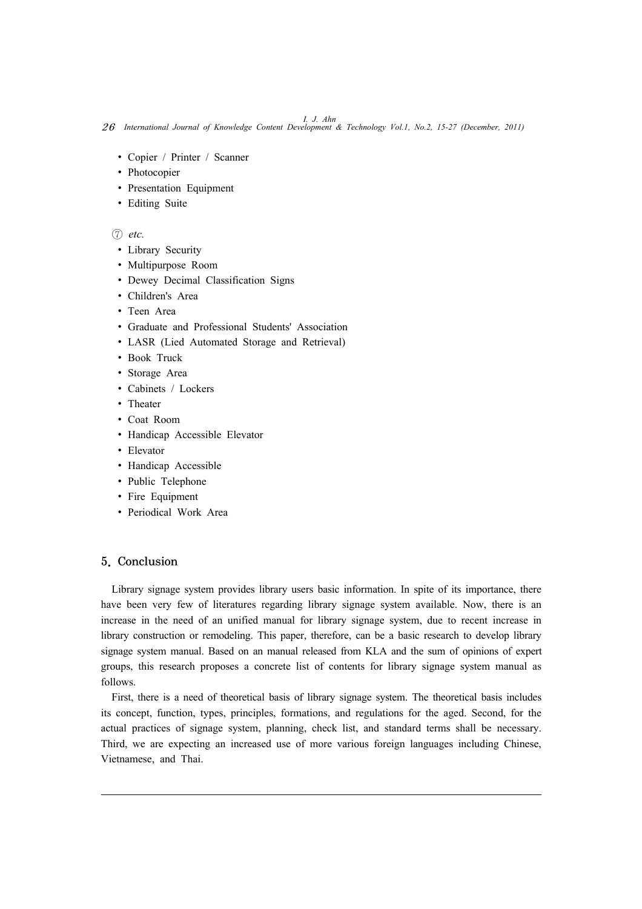*I. J. Ahn* 26 *International Journal of Knowledge Content Development & Technology Vol.1, No.2, 15-27 (December, 2011)*

- ∙ Copier / Printer / Scanner
- ∙ Photocopier
- ∙ Presentation Equipment
- ∙ Editing Suite

# ⑦ *etc.*

- ∙ Library Security
- ∙ Multipurpose Room
- ∙ Dewey Decimal Classification Signs
- ∙ Children's Area
- ∙ Teen Area
- ∙ Graduate and Professional Students' Association
- ∙ LASR (Lied Automated Storage and Retrieval)
- ∙ Book Truck
- ∙ Storage Area
- ∙ Cabinets / Lockers
- ∙ Theater
- ∙ Coat Room
- ∙ Handicap Accessible Elevator
- ∙ Elevator
- ∙ Handicap Accessible
- ∙ Public Telephone
- ∙ Fire Equipment
- ∙ Periodical Work Area

# 5. Conclusion

Library signage system provides library users basic information. In spite of its importance, there have been very few of literatures regarding library signage system available. Now, there is an increase in the need of an unified manual for library signage system, due to recent increase in library construction or remodeling. This paper, therefore, can be a basic research to develop library signage system manual. Based on an manual released from KLA and the sum of opinions of expert groups, this research proposes a concrete list of contents for library signage system manual as follows.

First, there is a need of theoretical basis of library signage system. The theoretical basis includes its concept, function, types, principles, formations, and regulations for the aged. Second, for the actual practices of signage system, planning, check list, and standard terms shall be necessary. Third, we are expecting an increased use of more various foreign languages including Chinese, Vietnamese, and Thai.